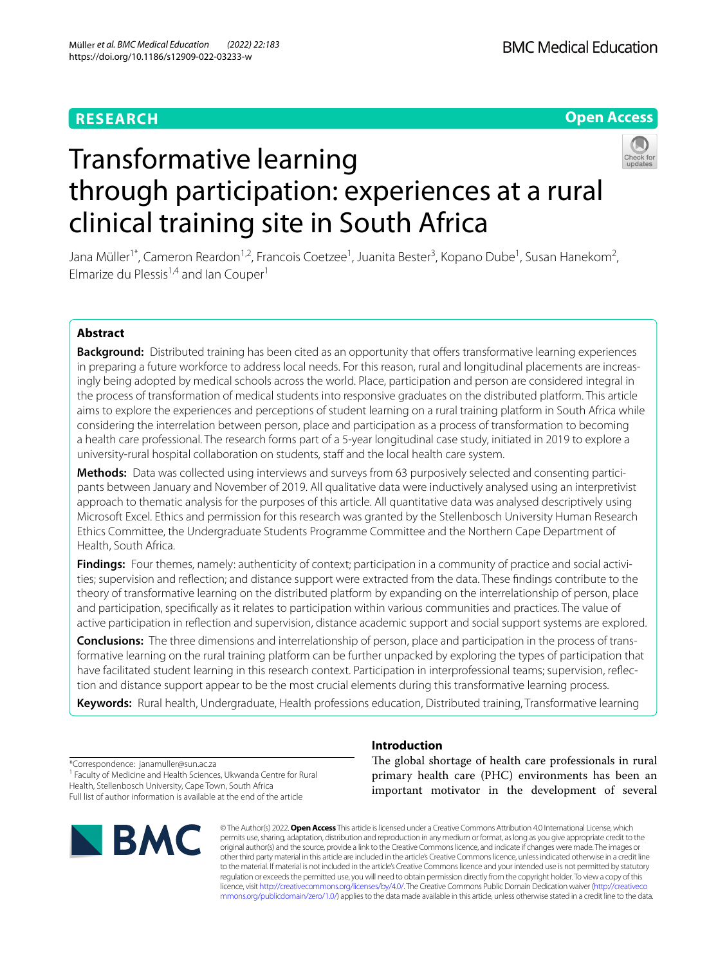## **RESEARCH**

## **Open Access**



# Transformative learning through participation: experiences at a rural clinical training site in South Africa

Jana Müller<sup>1\*</sup>, Cameron Reardon<sup>1,2</sup>, Francois Coetzee<sup>1</sup>, Juanita Bester<sup>3</sup>, Kopano Dube<sup>1</sup>, Susan Hanekom<sup>2</sup>, Elmarize du Plessis<sup>1,4</sup> and Ian Couper<sup>1</sup>

## **Abstract**

**Background:** Distributed training has been cited as an opportunity that offers transformative learning experiences in preparing a future workforce to address local needs. For this reason, rural and longitudinal placements are increasingly being adopted by medical schools across the world. Place, participation and person are considered integral in the process of transformation of medical students into responsive graduates on the distributed platform. This article aims to explore the experiences and perceptions of student learning on a rural training platform in South Africa while considering the interrelation between person, place and participation as a process of transformation to becoming a health care professional. The research forms part of a 5-year longitudinal case study, initiated in 2019 to explore a university-rural hospital collaboration on students, staff and the local health care system.

**Methods:** Data was collected using interviews and surveys from 63 purposively selected and consenting participants between January and November of 2019. All qualitative data were inductively analysed using an interpretivist approach to thematic analysis for the purposes of this article. All quantitative data was analysed descriptively using Microsoft Excel. Ethics and permission for this research was granted by the Stellenbosch University Human Research Ethics Committee, the Undergraduate Students Programme Committee and the Northern Cape Department of Health, South Africa.

**Findings:** Four themes, namely: authenticity of context; participation in a community of practice and social activities; supervision and refection; and distance support were extracted from the data. These fndings contribute to the theory of transformative learning on the distributed platform by expanding on the interrelationship of person, place and participation, specifcally as it relates to participation within various communities and practices. The value of active participation in refection and supervision, distance academic support and social support systems are explored.

**Conclusions:** The three dimensions and interrelationship of person, place and participation in the process of transformative learning on the rural training platform can be further unpacked by exploring the types of participation that have facilitated student learning in this research context. Participation in interprofessional teams; supervision, refection and distance support appear to be the most crucial elements during this transformative learning process.

**Keywords:** Rural health, Undergraduate, Health professions education, Distributed training, Transformative learning

\*Correspondence: janamuller@sun.ac.za <sup>1</sup> Faculty of Medicine and Health Sciences, Ukwanda Centre for Rural Health, Stellenbosch University, Cape Town, South Africa Full list of author information is available at the end of the article



## **Introduction**

The global shortage of health care professionals in rural primary health care (PHC) environments has been an important motivator in the development of several

© The Author(s) 2022. **Open Access** This article is licensed under a Creative Commons Attribution 4.0 International License, which permits use, sharing, adaptation, distribution and reproduction in any medium or format, as long as you give appropriate credit to the original author(s) and the source, provide a link to the Creative Commons licence, and indicate if changes were made. The images or other third party material in this article are included in the article's Creative Commons licence, unless indicated otherwise in a credit line to the material. If material is not included in the article's Creative Commons licence and your intended use is not permitted by statutory regulation or exceeds the permitted use, you will need to obtain permission directly from the copyright holder. To view a copy of this licence, visit [http://creativecommons.org/licenses/by/4.0/.](http://creativecommons.org/licenses/by/4.0/) The Creative Commons Public Domain Dedication waiver ([http://creativeco](http://creativecommons.org/publicdomain/zero/1.0/) [mmons.org/publicdomain/zero/1.0/](http://creativecommons.org/publicdomain/zero/1.0/)) applies to the data made available in this article, unless otherwise stated in a credit line to the data.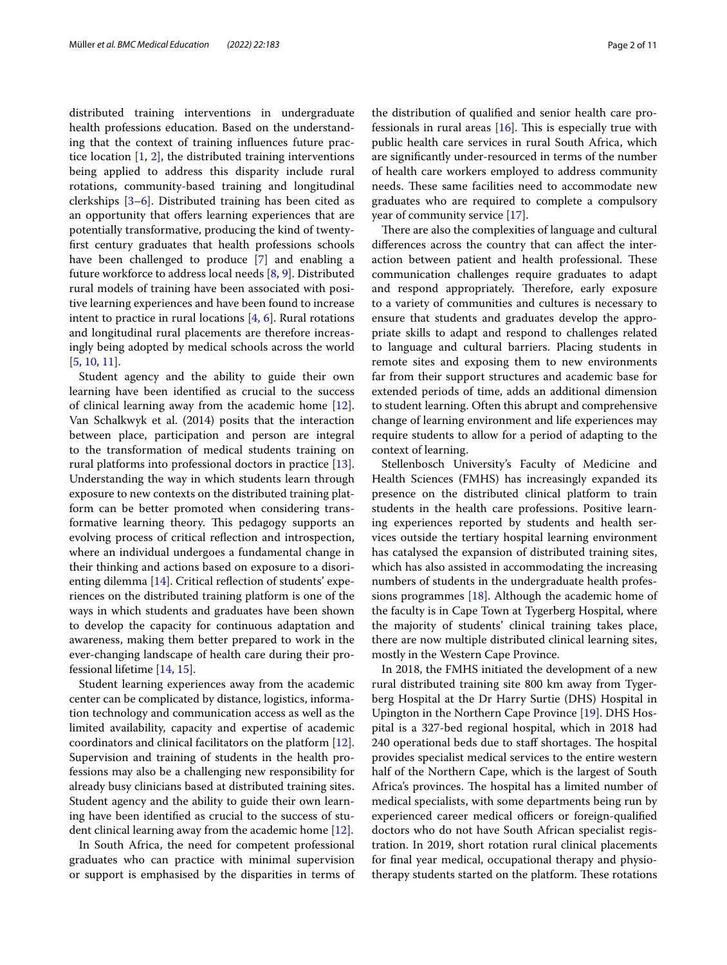distributed training interventions in undergraduate health professions education. Based on the understanding that the context of training infuences future practice location  $[1, 2]$  $[1, 2]$  $[1, 2]$  $[1, 2]$ , the distributed training interventions being applied to address this disparity include rural rotations, community-based training and longitudinal clerkships [[3–](#page-10-2)[6\]](#page-10-3). Distributed training has been cited as an opportunity that offers learning experiences that are potentially transformative, producing the kind of twentyfrst century graduates that health professions schools have been challenged to produce [[7](#page-10-4)] and enabling a future workforce to address local needs [[8,](#page-10-5) [9\]](#page-10-6). Distributed rural models of training have been associated with positive learning experiences and have been found to increase intent to practice in rural locations  $[4, 6]$  $[4, 6]$  $[4, 6]$ . Rural rotations and longitudinal rural placements are therefore increasingly being adopted by medical schools across the world [[5,](#page-10-8) [10](#page-10-9), [11\]](#page-10-10).

Student agency and the ability to guide their own learning have been identifed as crucial to the success of clinical learning away from the academic home [\[12](#page-10-11)]. Van Schalkwyk et al. (2014) posits that the interaction between place, participation and person are integral to the transformation of medical students training on rural platforms into professional doctors in practice [\[13](#page-10-12)]. Understanding the way in which students learn through exposure to new contexts on the distributed training platform can be better promoted when considering transformative learning theory. This pedagogy supports an evolving process of critical refection and introspection, where an individual undergoes a fundamental change in their thinking and actions based on exposure to a disori-enting dilemma [\[14](#page-10-13)]. Critical reflection of students' experiences on the distributed training platform is one of the ways in which students and graduates have been shown to develop the capacity for continuous adaptation and awareness, making them better prepared to work in the ever-changing landscape of health care during their professional lifetime [[14,](#page-10-13) [15](#page-10-14)].

Student learning experiences away from the academic center can be complicated by distance, logistics, information technology and communication access as well as the limited availability, capacity and expertise of academic coordinators and clinical facilitators on the platform [\[12](#page-10-11)]. Supervision and training of students in the health professions may also be a challenging new responsibility for already busy clinicians based at distributed training sites. Student agency and the ability to guide their own learning have been identifed as crucial to the success of student clinical learning away from the academic home [[12](#page-10-11)].

In South Africa, the need for competent professional graduates who can practice with minimal supervision or support is emphasised by the disparities in terms of

the distribution of qualifed and senior health care professionals in rural areas  $[16]$  $[16]$ . This is especially true with public health care services in rural South Africa, which are signifcantly under-resourced in terms of the number of health care workers employed to address community needs. These same facilities need to accommodate new graduates who are required to complete a compulsory year of community service [[17\]](#page-10-16).

There are also the complexities of language and cultural diferences across the country that can afect the interaction between patient and health professional. These communication challenges require graduates to adapt and respond appropriately. Therefore, early exposure to a variety of communities and cultures is necessary to ensure that students and graduates develop the appropriate skills to adapt and respond to challenges related to language and cultural barriers. Placing students in remote sites and exposing them to new environments far from their support structures and academic base for extended periods of time, adds an additional dimension to student learning. Often this abrupt and comprehensive change of learning environment and life experiences may require students to allow for a period of adapting to the context of learning.

Stellenbosch University's Faculty of Medicine and Health Sciences (FMHS) has increasingly expanded its presence on the distributed clinical platform to train students in the health care professions. Positive learning experiences reported by students and health services outside the tertiary hospital learning environment has catalysed the expansion of distributed training sites, which has also assisted in accommodating the increasing numbers of students in the undergraduate health professions programmes [[18\]](#page-10-17). Although the academic home of the faculty is in Cape Town at Tygerberg Hospital, where the majority of students' clinical training takes place, there are now multiple distributed clinical learning sites, mostly in the Western Cape Province.

In 2018, the FMHS initiated the development of a new rural distributed training site 800 km away from Tygerberg Hospital at the Dr Harry Surtie (DHS) Hospital in Upington in the Northern Cape Province [\[19](#page-10-18)]. DHS Hospital is a 327-bed regional hospital, which in 2018 had 240 operational beds due to staff shortages. The hospital provides specialist medical services to the entire western half of the Northern Cape, which is the largest of South Africa's provinces. The hospital has a limited number of medical specialists, with some departments being run by experienced career medical officers or foreign-qualified doctors who do not have South African specialist registration. In 2019, short rotation rural clinical placements for fnal year medical, occupational therapy and physiotherapy students started on the platform. These rotations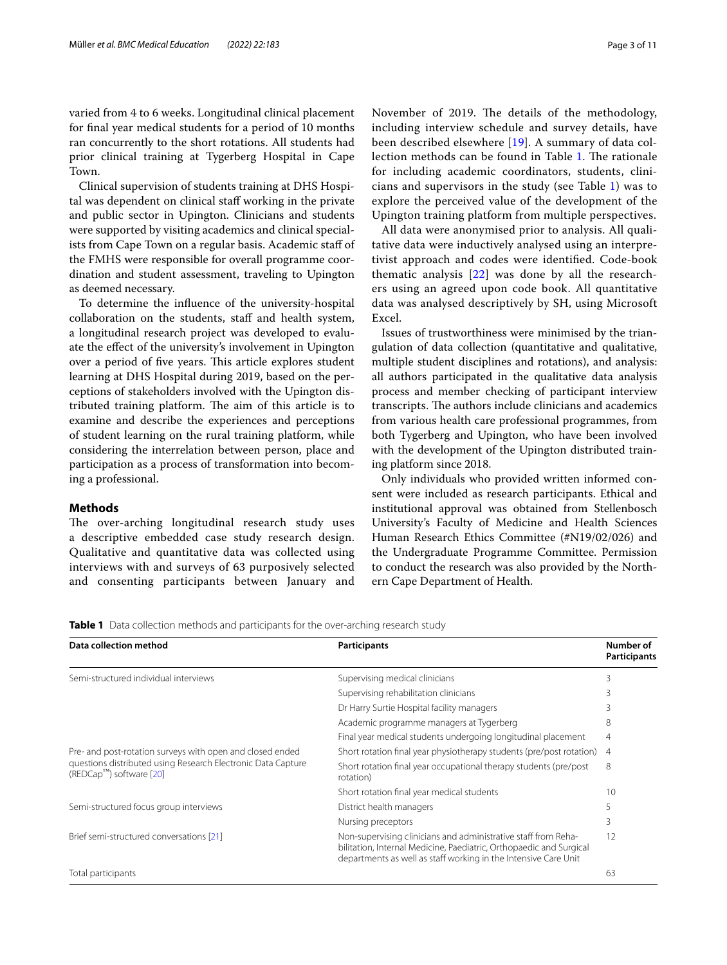varied from 4 to 6 weeks. Longitudinal clinical placement for fnal year medical students for a period of 10 months ran concurrently to the short rotations. All students had prior clinical training at Tygerberg Hospital in Cape Town.

Clinical supervision of students training at DHS Hospital was dependent on clinical staf working in the private and public sector in Upington. Clinicians and students were supported by visiting academics and clinical specialists from Cape Town on a regular basis. Academic staf of the FMHS were responsible for overall programme coordination and student assessment, traveling to Upington as deemed necessary.

To determine the infuence of the university-hospital collaboration on the students, staff and health system, a longitudinal research project was developed to evaluate the efect of the university's involvement in Upington over a period of five years. This article explores student learning at DHS Hospital during 2019, based on the perceptions of stakeholders involved with the Upington distributed training platform. The aim of this article is to examine and describe the experiences and perceptions of student learning on the rural training platform, while considering the interrelation between person, place and participation as a process of transformation into becoming a professional.

#### **Methods**

The over-arching longitudinal research study uses a descriptive embedded case study research design. Qualitative and quantitative data was collected using interviews with and surveys of 63 purposively selected and consenting participants between January and November of 2019. The details of the methodology, including interview schedule and survey details, have been described elsewhere [[19\]](#page-10-18). A summary of data col-lection methods can be found in Table [1](#page-2-0). The rationale for including academic coordinators, students, clinicians and supervisors in the study (see Table [1\)](#page-2-0) was to explore the perceived value of the development of the Upington training platform from multiple perspectives.

All data were anonymised prior to analysis. All qualitative data were inductively analysed using an interpretivist approach and codes were identifed. Code-book thematic analysis [\[22\]](#page-10-19) was done by all the researchers using an agreed upon code book. All quantitative data was analysed descriptively by SH, using Microsoft Excel.

Issues of trustworthiness were minimised by the triangulation of data collection (quantitative and qualitative, multiple student disciplines and rotations), and analysis: all authors participated in the qualitative data analysis process and member checking of participant interview transcripts. The authors include clinicians and academics from various health care professional programmes, from both Tygerberg and Upington, who have been involved with the development of the Upington distributed training platform since 2018.

Only individuals who provided written informed consent were included as research participants. Ethical and institutional approval was obtained from Stellenbosch University's Faculty of Medicine and Health Sciences Human Research Ethics Committee (#N19/02/026) and the Undergraduate Programme Committee. Permission to conduct the research was also provided by the Northern Cape Department of Health.

<span id="page-2-0"></span>**Table 1** Data collection methods and participants for the over-arching research study

| Data collection method                                                                                                                                             | <b>Participants</b>                                                                                                                                                                                      | Number of<br>Participants |
|--------------------------------------------------------------------------------------------------------------------------------------------------------------------|----------------------------------------------------------------------------------------------------------------------------------------------------------------------------------------------------------|---------------------------|
| Semi-structured individual interviews                                                                                                                              | Supervising medical clinicians                                                                                                                                                                           | 3                         |
|                                                                                                                                                                    | Supervising rehabilitation clinicians                                                                                                                                                                    | 3                         |
|                                                                                                                                                                    | Dr Harry Surtie Hospital facility managers                                                                                                                                                               | 3                         |
|                                                                                                                                                                    | Academic programme managers at Tygerberg                                                                                                                                                                 | 8                         |
|                                                                                                                                                                    | Final year medical students undergoing longitudinal placement                                                                                                                                            | 4                         |
| Pre- and post-rotation surveys with open and closed ended<br>questions distributed using Research Electronic Data Capture<br>(REDCap <sup>TM</sup> ) software [20] | Short rotation final year physiotherapy students (pre/post rotation)                                                                                                                                     | 4                         |
|                                                                                                                                                                    | Short rotation final year occupational therapy students (pre/post<br>rotation)                                                                                                                           | 8                         |
|                                                                                                                                                                    | Short rotation final year medical students                                                                                                                                                               | 10                        |
| Semi-structured focus group interviews                                                                                                                             | District health managers                                                                                                                                                                                 | 5                         |
|                                                                                                                                                                    | Nursing preceptors                                                                                                                                                                                       | 3                         |
| Brief semi-structured conversations [21]                                                                                                                           | Non-supervising clinicians and administrative staff from Reha-<br>bilitation, Internal Medicine, Paediatric, Orthopaedic and Surgical<br>departments as well as staff working in the Intensive Care Unit | 12                        |
| Total participants                                                                                                                                                 |                                                                                                                                                                                                          | 63                        |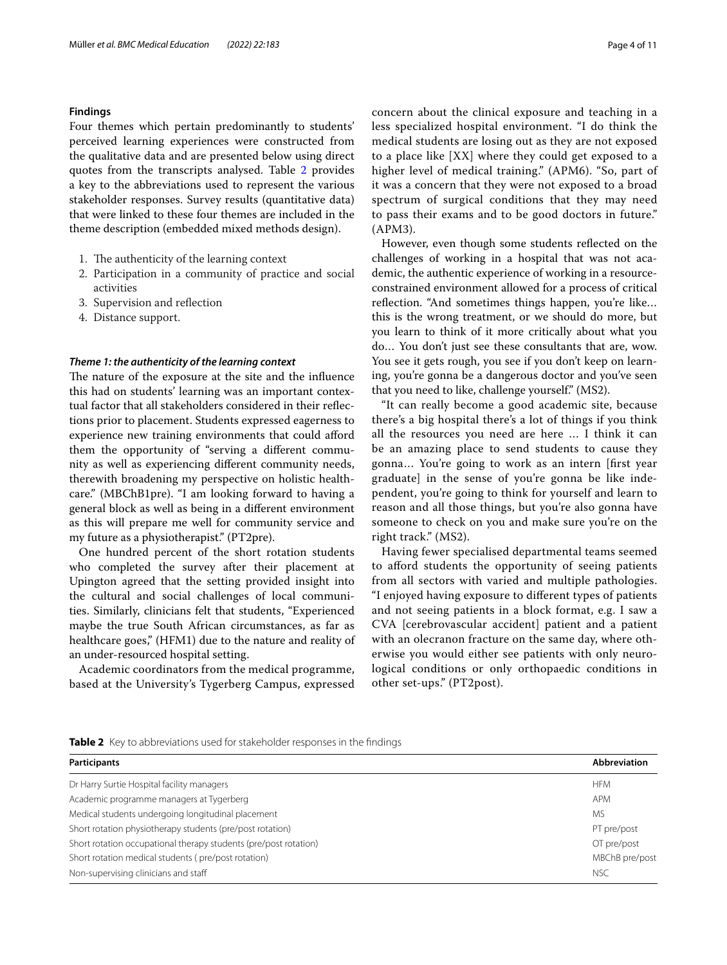#### **Findings**

Four themes which pertain predominantly to students' perceived learning experiences were constructed from the qualitative data and are presented below using direct quotes from the transcripts analysed. Table [2](#page-3-0) provides a key to the abbreviations used to represent the various stakeholder responses. Survey results (quantitative data) that were linked to these four themes are included in the theme description (embedded mixed methods design).

- 1. The authenticity of the learning context
- 2. Participation in a community of practice and social activities
- 3. Supervision and refection
- 4. Distance support.

#### *Theme 1: the authenticity of the learning context*

The nature of the exposure at the site and the influence this had on students' learning was an important contextual factor that all stakeholders considered in their refections prior to placement. Students expressed eagerness to experience new training environments that could afford them the opportunity of "serving a diferent community as well as experiencing diferent community needs, therewith broadening my perspective on holistic healthcare." (MBChB1pre). "I am looking forward to having a general block as well as being in a diferent environment as this will prepare me well for community service and my future as a physiotherapist." (PT2pre).

One hundred percent of the short rotation students who completed the survey after their placement at Upington agreed that the setting provided insight into the cultural and social challenges of local communities. Similarly, clinicians felt that students, "Experienced maybe the true South African circumstances, as far as healthcare goes," (HFM1) due to the nature and reality of an under-resourced hospital setting.

Academic coordinators from the medical programme, based at the University's Tygerberg Campus, expressed concern about the clinical exposure and teaching in a less specialized hospital environment. "I do think the medical students are losing out as they are not exposed to a place like [XX] where they could get exposed to a higher level of medical training." (APM6). "So, part of it was a concern that they were not exposed to a broad spectrum of surgical conditions that they may need to pass their exams and to be good doctors in future." (APM3).

However, even though some students refected on the challenges of working in a hospital that was not academic, the authentic experience of working in a resourceconstrained environment allowed for a process of critical reflection. "And sometimes things happen, you're like... this is the wrong treatment, or we should do more, but you learn to think of it more critically about what you do… You don't just see these consultants that are, wow. You see it gets rough, you see if you don't keep on learning, you're gonna be a dangerous doctor and you've seen that you need to like, challenge yourself." (MS2).

"It can really become a good academic site, because there's a big hospital there's a lot of things if you think all the resources you need are here … I think it can be an amazing place to send students to cause they gonna… You're going to work as an intern [frst year graduate] in the sense of you're gonna be like independent, you're going to think for yourself and learn to reason and all those things, but you're also gonna have someone to check on you and make sure you're on the right track." (MS2).

Having fewer specialised departmental teams seemed to afford students the opportunity of seeing patients from all sectors with varied and multiple pathologies. "I enjoyed having exposure to diferent types of patients and not seeing patients in a block format, e.g. I saw a CVA [cerebrovascular accident] patient and a patient with an olecranon fracture on the same day, where otherwise you would either see patients with only neurological conditions or only orthopaedic conditions in other set-ups." (PT2post).

<span id="page-3-0"></span>**Table 2** Key to abbreviations used for stakeholder responses in the findings

| <b>Participants</b>                                              | <b>Abbreviation</b> |
|------------------------------------------------------------------|---------------------|
| Dr Harry Surtie Hospital facility managers                       | <b>HFM</b>          |
| Academic programme managers at Tygerberg                         | APM                 |
| Medical students undergoing longitudinal placement               | <b>MS</b>           |
| Short rotation physiotherapy students (pre/post rotation)        | PT pre/post         |
| Short rotation occupational therapy students (pre/post rotation) | OT pre/post         |
| Short rotation medical students (pre/post rotation)              | MBChB pre/post      |
| Non-supervising clinicians and staff                             | <b>NSC</b>          |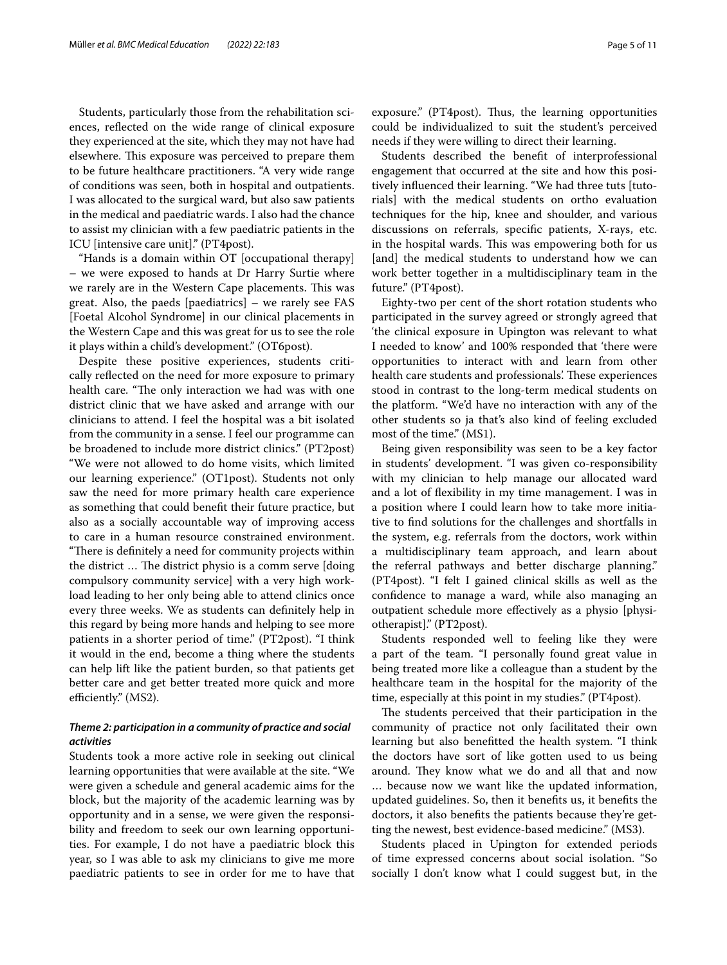Students, particularly those from the rehabilitation sciences, refected on the wide range of clinical exposure they experienced at the site, which they may not have had elsewhere. This exposure was perceived to prepare them to be future healthcare practitioners. "A very wide range of conditions was seen, both in hospital and outpatients. I was allocated to the surgical ward, but also saw patients in the medical and paediatric wards. I also had the chance to assist my clinician with a few paediatric patients in the ICU [intensive care unit]." (PT4post).

"Hands is a domain within OT [occupational therapy] – we were exposed to hands at Dr Harry Surtie where we rarely are in the Western Cape placements. This was great. Also, the paeds [paediatrics] – we rarely see FAS [Foetal Alcohol Syndrome] in our clinical placements in the Western Cape and this was great for us to see the role it plays within a child's development." (OT6post).

Despite these positive experiences, students critically refected on the need for more exposure to primary health care. "The only interaction we had was with one district clinic that we have asked and arrange with our clinicians to attend. I feel the hospital was a bit isolated from the community in a sense. I feel our programme can be broadened to include more district clinics." (PT2post) "We were not allowed to do home visits, which limited our learning experience." (OT1post). Students not only saw the need for more primary health care experience as something that could beneft their future practice, but also as a socially accountable way of improving access to care in a human resource constrained environment. "There is definitely a need for community projects within the district ... The district physio is a comm serve [doing] compulsory community service] with a very high workload leading to her only being able to attend clinics once every three weeks. We as students can defnitely help in this regard by being more hands and helping to see more patients in a shorter period of time." (PT2post). "I think it would in the end, become a thing where the students can help lift like the patient burden, so that patients get better care and get better treated more quick and more efficiently." (MS2).

### *Theme 2: participation in a community of practice and social activities*

Students took a more active role in seeking out clinical learning opportunities that were available at the site. "We were given a schedule and general academic aims for the block, but the majority of the academic learning was by opportunity and in a sense, we were given the responsibility and freedom to seek our own learning opportunities. For example, I do not have a paediatric block this year, so I was able to ask my clinicians to give me more paediatric patients to see in order for me to have that exposure." (PT4post). Thus, the learning opportunities could be individualized to suit the student's perceived needs if they were willing to direct their learning.

Students described the beneft of interprofessional engagement that occurred at the site and how this positively infuenced their learning. "We had three tuts [tutorials] with the medical students on ortho evaluation techniques for the hip, knee and shoulder, and various discussions on referrals, specifc patients, X-rays, etc. in the hospital wards. This was empowering both for us [and] the medical students to understand how we can work better together in a multidisciplinary team in the future." (PT4post).

Eighty-two per cent of the short rotation students who participated in the survey agreed or strongly agreed that 'the clinical exposure in Upington was relevant to what I needed to know' and 100% responded that 'there were opportunities to interact with and learn from other health care students and professionals'. These experiences stood in contrast to the long-term medical students on the platform. "We'd have no interaction with any of the other students so ja that's also kind of feeling excluded most of the time." (MS1).

Being given responsibility was seen to be a key factor in students' development. "I was given co-responsibility with my clinician to help manage our allocated ward and a lot of fexibility in my time management. I was in a position where I could learn how to take more initiative to fnd solutions for the challenges and shortfalls in the system, e.g. referrals from the doctors, work within a multidisciplinary team approach, and learn about the referral pathways and better discharge planning." (PT4post). "I felt I gained clinical skills as well as the confdence to manage a ward, while also managing an outpatient schedule more efectively as a physio [physiotherapist]." (PT2post).

Students responded well to feeling like they were a part of the team. "I personally found great value in being treated more like a colleague than a student by the healthcare team in the hospital for the majority of the time, especially at this point in my studies." (PT4post).

The students perceived that their participation in the community of practice not only facilitated their own learning but also beneftted the health system. "I think the doctors have sort of like gotten used to us being around. They know what we do and all that and now … because now we want like the updated information, updated guidelines. So, then it benefts us, it benefts the doctors, it also benefts the patients because they're getting the newest, best evidence-based medicine." (MS3).

Students placed in Upington for extended periods of time expressed concerns about social isolation. "So socially I don't know what I could suggest but, in the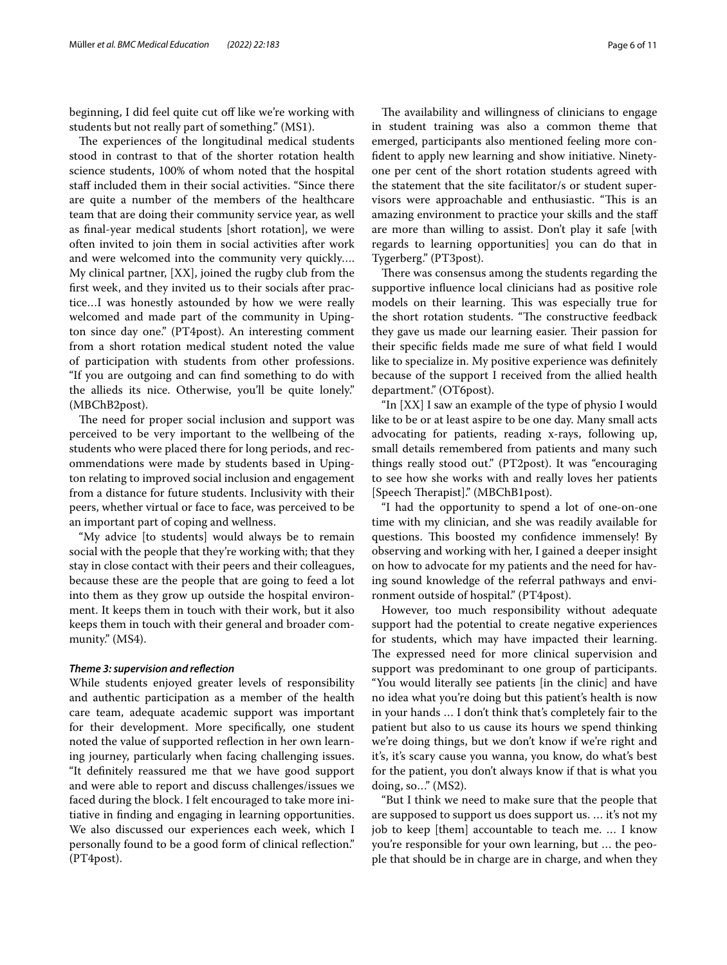beginning, I did feel quite cut off like we're working with students but not really part of something." (MS1).

The experiences of the longitudinal medical students stood in contrast to that of the shorter rotation health science students, 100% of whom noted that the hospital staff included them in their social activities. "Since there are quite a number of the members of the healthcare team that are doing their community service year, as well as fnal-year medical students [short rotation], we were often invited to join them in social activities after work and were welcomed into the community very quickly…. My clinical partner, [XX], joined the rugby club from the frst week, and they invited us to their socials after practice…I was honestly astounded by how we were really welcomed and made part of the community in Upington since day one." (PT4post). An interesting comment from a short rotation medical student noted the value of participation with students from other professions. "If you are outgoing and can fnd something to do with the allieds its nice. Otherwise, you'll be quite lonely." (MBChB2post).

The need for proper social inclusion and support was perceived to be very important to the wellbeing of the students who were placed there for long periods, and recommendations were made by students based in Upington relating to improved social inclusion and engagement from a distance for future students. Inclusivity with their peers, whether virtual or face to face, was perceived to be an important part of coping and wellness.

"My advice [to students] would always be to remain social with the people that they're working with; that they stay in close contact with their peers and their colleagues, because these are the people that are going to feed a lot into them as they grow up outside the hospital environment. It keeps them in touch with their work, but it also keeps them in touch with their general and broader community." (MS4).

#### *Theme 3: supervision and refection*

While students enjoyed greater levels of responsibility and authentic participation as a member of the health care team, adequate academic support was important for their development. More specifcally, one student noted the value of supported refection in her own learning journey, particularly when facing challenging issues. "It defnitely reassured me that we have good support and were able to report and discuss challenges/issues we faced during the block. I felt encouraged to take more initiative in fnding and engaging in learning opportunities. We also discussed our experiences each week, which I personally found to be a good form of clinical refection." (PT4post).

The availability and willingness of clinicians to engage in student training was also a common theme that emerged, participants also mentioned feeling more confdent to apply new learning and show initiative. Ninetyone per cent of the short rotation students agreed with the statement that the site facilitator/s or student supervisors were approachable and enthusiastic. "This is an amazing environment to practice your skills and the staf are more than willing to assist. Don't play it safe [with regards to learning opportunities] you can do that in Tygerberg." (PT3post).

There was consensus among the students regarding the supportive infuence local clinicians had as positive role models on their learning. This was especially true for the short rotation students. "The constructive feedback they gave us made our learning easier. Their passion for their specifc felds made me sure of what feld I would like to specialize in. My positive experience was defnitely because of the support I received from the allied health department." (OT6post).

"In [XX] I saw an example of the type of physio I would like to be or at least aspire to be one day. Many small acts advocating for patients, reading x-rays, following up, small details remembered from patients and many such things really stood out." (PT2post). It was "encouraging to see how she works with and really loves her patients [Speech Therapist]." (MBChB1post).

"I had the opportunity to spend a lot of one-on-one time with my clinician, and she was readily available for questions. This boosted my confidence immensely! By observing and working with her, I gained a deeper insight on how to advocate for my patients and the need for having sound knowledge of the referral pathways and environment outside of hospital." (PT4post).

However, too much responsibility without adequate support had the potential to create negative experiences for students, which may have impacted their learning. The expressed need for more clinical supervision and support was predominant to one group of participants. "You would literally see patients [in the clinic] and have no idea what you're doing but this patient's health is now in your hands … I don't think that's completely fair to the patient but also to us cause its hours we spend thinking we're doing things, but we don't know if we're right and it's, it's scary cause you wanna, you know, do what's best for the patient, you don't always know if that is what you doing, so…" (MS2).

"But I think we need to make sure that the people that are supposed to support us does support us. … it's not my job to keep [them] accountable to teach me. … I know you're responsible for your own learning, but … the people that should be in charge are in charge, and when they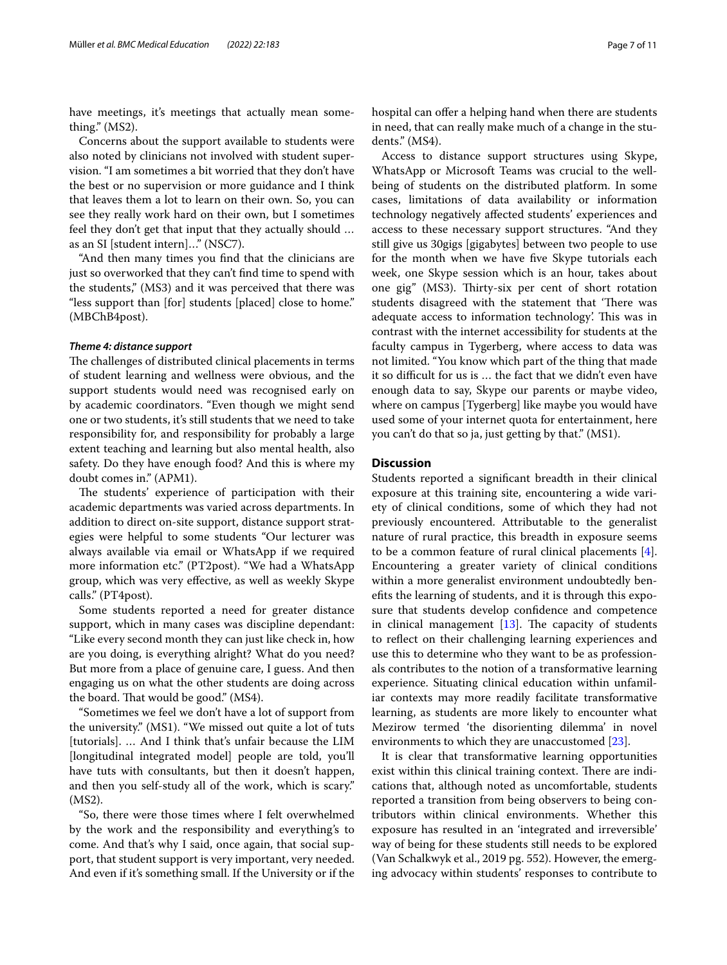have meetings, it's meetings that actually mean something." (MS2).

Concerns about the support available to students were also noted by clinicians not involved with student supervision. "I am sometimes a bit worried that they don't have the best or no supervision or more guidance and I think that leaves them a lot to learn on their own. So, you can see they really work hard on their own, but I sometimes feel they don't get that input that they actually should … as an SI [student intern]…" (NSC7).

"And then many times you fnd that the clinicians are just so overworked that they can't fnd time to spend with the students," (MS3) and it was perceived that there was "less support than [for] students [placed] close to home." (MBChB4post).

#### *Theme 4: distance support*

The challenges of distributed clinical placements in terms of student learning and wellness were obvious, and the support students would need was recognised early on by academic coordinators. "Even though we might send one or two students, it's still students that we need to take responsibility for, and responsibility for probably a large extent teaching and learning but also mental health, also safety. Do they have enough food? And this is where my doubt comes in." (APM1).

The students' experience of participation with their academic departments was varied across departments. In addition to direct on-site support, distance support strategies were helpful to some students "Our lecturer was always available via email or WhatsApp if we required more information etc." (PT2post). "We had a WhatsApp group, which was very efective, as well as weekly Skype calls." (PT4post).

Some students reported a need for greater distance support, which in many cases was discipline dependant: "Like every second month they can just like check in, how are you doing, is everything alright? What do you need? But more from a place of genuine care, I guess. And then engaging us on what the other students are doing across the board. That would be good." (MS4).

"Sometimes we feel we don't have a lot of support from the university." (MS1). "We missed out quite a lot of tuts [tutorials]. … And I think that's unfair because the LIM [longitudinal integrated model] people are told, you'll have tuts with consultants, but then it doesn't happen, and then you self-study all of the work, which is scary." (MS2).

"So, there were those times where I felt overwhelmed by the work and the responsibility and everything's to come. And that's why I said, once again, that social support, that student support is very important, very needed. And even if it's something small. If the University or if the hospital can offer a helping hand when there are students in need, that can really make much of a change in the students." (MS4).

Access to distance support structures using Skype, WhatsApp or Microsoft Teams was crucial to the wellbeing of students on the distributed platform. In some cases, limitations of data availability or information technology negatively afected students' experiences and access to these necessary support structures. "And they still give us 30gigs [gigabytes] between two people to use for the month when we have five Skype tutorials each week, one Skype session which is an hour, takes about one gig" (MS3). Thirty-six per cent of short rotation students disagreed with the statement that 'There was adequate access to information technology'. This was in contrast with the internet accessibility for students at the faculty campus in Tygerberg, where access to data was not limited. "You know which part of the thing that made it so difficult for us is ... the fact that we didn't even have enough data to say, Skype our parents or maybe video, where on campus [Tygerberg] like maybe you would have used some of your internet quota for entertainment, here you can't do that so ja, just getting by that." (MS1).

#### **Discussion**

Students reported a signifcant breadth in their clinical exposure at this training site, encountering a wide variety of clinical conditions, some of which they had not previously encountered. Attributable to the generalist nature of rural practice, this breadth in exposure seems to be a common feature of rural clinical placements [\[4](#page-10-7)]. Encountering a greater variety of clinical conditions within a more generalist environment undoubtedly benefts the learning of students, and it is through this exposure that students develop confdence and competence in clinical management  $[13]$  $[13]$  $[13]$ . The capacity of students to refect on their challenging learning experiences and use this to determine who they want to be as professionals contributes to the notion of a transformative learning experience. Situating clinical education within unfamiliar contexts may more readily facilitate transformative learning, as students are more likely to encounter what Mezirow termed 'the disorienting dilemma' in novel environments to which they are unaccustomed [\[23](#page-10-22)].

It is clear that transformative learning opportunities exist within this clinical training context. There are indications that, although noted as uncomfortable, students reported a transition from being observers to being contributors within clinical environments. Whether this exposure has resulted in an 'integrated and irreversible' way of being for these students still needs to be explored (Van Schalkwyk et al., 2019 pg. 552). However, the emerging advocacy within students' responses to contribute to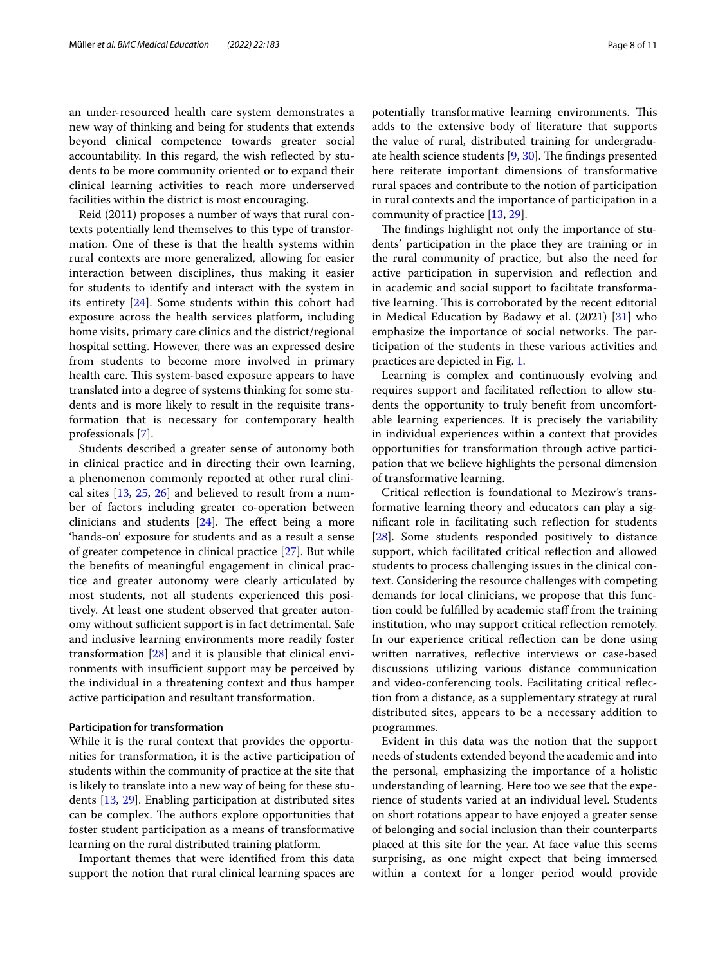an under-resourced health care system demonstrates a new way of thinking and being for students that extends beyond clinical competence towards greater social accountability. In this regard, the wish refected by students to be more community oriented or to expand their clinical learning activities to reach more underserved facilities within the district is most encouraging.

Reid (2011) proposes a number of ways that rural contexts potentially lend themselves to this type of transformation. One of these is that the health systems within rural contexts are more generalized, allowing for easier interaction between disciplines, thus making it easier for students to identify and interact with the system in its entirety [\[24](#page-10-23)]. Some students within this cohort had exposure across the health services platform, including home visits, primary care clinics and the district/regional hospital setting. However, there was an expressed desire from students to become more involved in primary health care. This system-based exposure appears to have translated into a degree of systems thinking for some students and is more likely to result in the requisite transformation that is necessary for contemporary health professionals [\[7](#page-10-4)].

Students described a greater sense of autonomy both in clinical practice and in directing their own learning, a phenomenon commonly reported at other rural clinical sites [[13,](#page-10-12) [25](#page-10-24), [26\]](#page-10-25) and believed to result from a number of factors including greater co-operation between clinicians and students  $[24]$  $[24]$ . The effect being a more 'hands-on' exposure for students and as a result a sense of greater competence in clinical practice [\[27](#page-10-26)]. But while the benefts of meaningful engagement in clinical practice and greater autonomy were clearly articulated by most students, not all students experienced this positively. At least one student observed that greater autonomy without sufficient support is in fact detrimental. Safe and inclusive learning environments more readily foster transformation [[28\]](#page-10-27) and it is plausible that clinical environments with insufficient support may be perceived by the individual in a threatening context and thus hamper active participation and resultant transformation.

#### **Participation for transformation**

While it is the rural context that provides the opportunities for transformation, it is the active participation of students within the community of practice at the site that is likely to translate into a new way of being for these students [\[13](#page-10-12), [29](#page-10-28)]. Enabling participation at distributed sites can be complex. The authors explore opportunities that foster student participation as a means of transformative learning on the rural distributed training platform.

Important themes that were identifed from this data support the notion that rural clinical learning spaces are potentially transformative learning environments. This adds to the extensive body of literature that supports the value of rural, distributed training for undergraduate health science students  $[9, 30]$  $[9, 30]$  $[9, 30]$ . The findings presented here reiterate important dimensions of transformative rural spaces and contribute to the notion of participation in rural contexts and the importance of participation in a community of practice [[13](#page-10-12), [29\]](#page-10-28).

The findings highlight not only the importance of students' participation in the place they are training or in the rural community of practice, but also the need for active participation in supervision and refection and in academic and social support to facilitate transformative learning. This is corroborated by the recent editorial in Medical Education by Badawy et al. (2021) [\[31](#page-10-30)] who emphasize the importance of social networks. The participation of the students in these various activities and practices are depicted in Fig. [1](#page-8-0).

Learning is complex and continuously evolving and requires support and facilitated refection to allow students the opportunity to truly beneft from uncomfortable learning experiences. It is precisely the variability in individual experiences within a context that provides opportunities for transformation through active participation that we believe highlights the personal dimension of transformative learning.

Critical refection is foundational to Mezirow's transformative learning theory and educators can play a signifcant role in facilitating such refection for students [[28\]](#page-10-27). Some students responded positively to distance support, which facilitated critical refection and allowed students to process challenging issues in the clinical context. Considering the resource challenges with competing demands for local clinicians, we propose that this function could be fulflled by academic staf from the training institution, who may support critical reflection remotely. In our experience critical refection can be done using written narratives, refective interviews or case-based discussions utilizing various distance communication and video-conferencing tools. Facilitating critical refection from a distance, as a supplementary strategy at rural distributed sites, appears to be a necessary addition to programmes.

Evident in this data was the notion that the support needs of students extended beyond the academic and into the personal, emphasizing the importance of a holistic understanding of learning. Here too we see that the experience of students varied at an individual level. Students on short rotations appear to have enjoyed a greater sense of belonging and social inclusion than their counterparts placed at this site for the year. At face value this seems surprising, as one might expect that being immersed within a context for a longer period would provide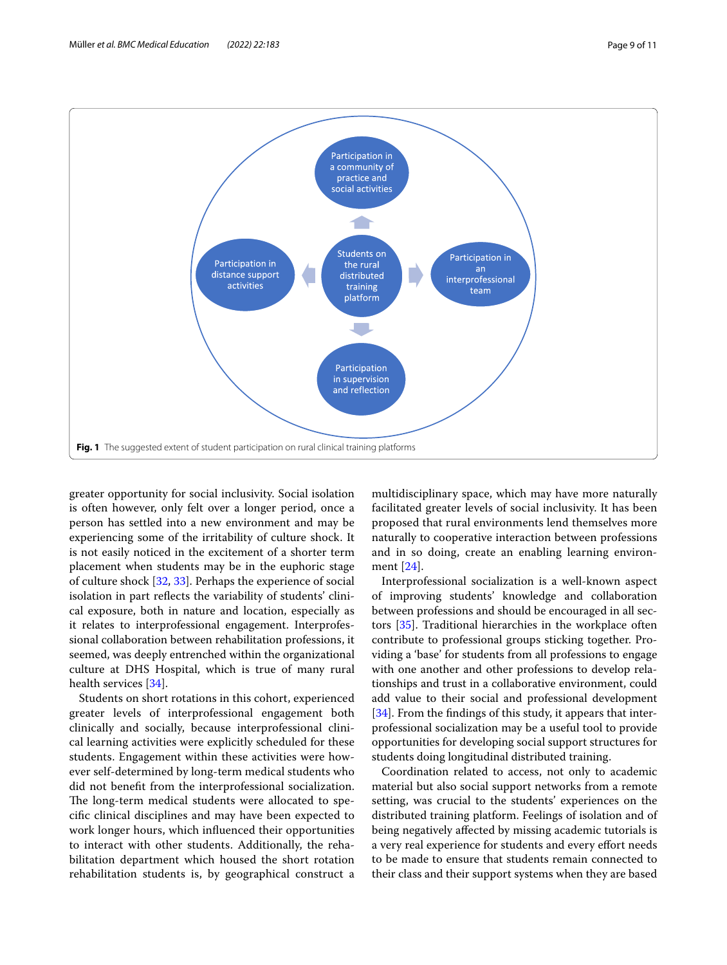

<span id="page-8-0"></span>greater opportunity for social inclusivity. Social isolation is often however, only felt over a longer period, once a person has settled into a new environment and may be experiencing some of the irritability of culture shock. It is not easily noticed in the excitement of a shorter term placement when students may be in the euphoric stage of culture shock [[32,](#page-10-31) [33](#page-10-32)]. Perhaps the experience of social isolation in part refects the variability of students' clinical exposure, both in nature and location, especially as it relates to interprofessional engagement. Interprofessional collaboration between rehabilitation professions, it seemed, was deeply entrenched within the organizational culture at DHS Hospital, which is true of many rural health services [\[34](#page-10-33)].

Students on short rotations in this cohort, experienced greater levels of interprofessional engagement both clinically and socially, because interprofessional clinical learning activities were explicitly scheduled for these students. Engagement within these activities were however self-determined by long-term medical students who did not beneft from the interprofessional socialization. The long-term medical students were allocated to specifc clinical disciplines and may have been expected to work longer hours, which infuenced their opportunities to interact with other students. Additionally, the rehabilitation department which housed the short rotation rehabilitation students is, by geographical construct a

multidisciplinary space, which may have more naturally facilitated greater levels of social inclusivity. It has been proposed that rural environments lend themselves more naturally to cooperative interaction between professions and in so doing, create an enabling learning environment [[24\]](#page-10-23).

Interprofessional socialization is a well-known aspect of improving students' knowledge and collaboration between professions and should be encouraged in all sectors [\[35](#page-10-34)]. Traditional hierarchies in the workplace often contribute to professional groups sticking together. Providing a 'base' for students from all professions to engage with one another and other professions to develop relationships and trust in a collaborative environment, could add value to their social and professional development [[34\]](#page-10-33). From the findings of this study, it appears that interprofessional socialization may be a useful tool to provide opportunities for developing social support structures for students doing longitudinal distributed training.

Coordination related to access, not only to academic material but also social support networks from a remote setting, was crucial to the students' experiences on the distributed training platform. Feelings of isolation and of being negatively afected by missing academic tutorials is a very real experience for students and every efort needs to be made to ensure that students remain connected to their class and their support systems when they are based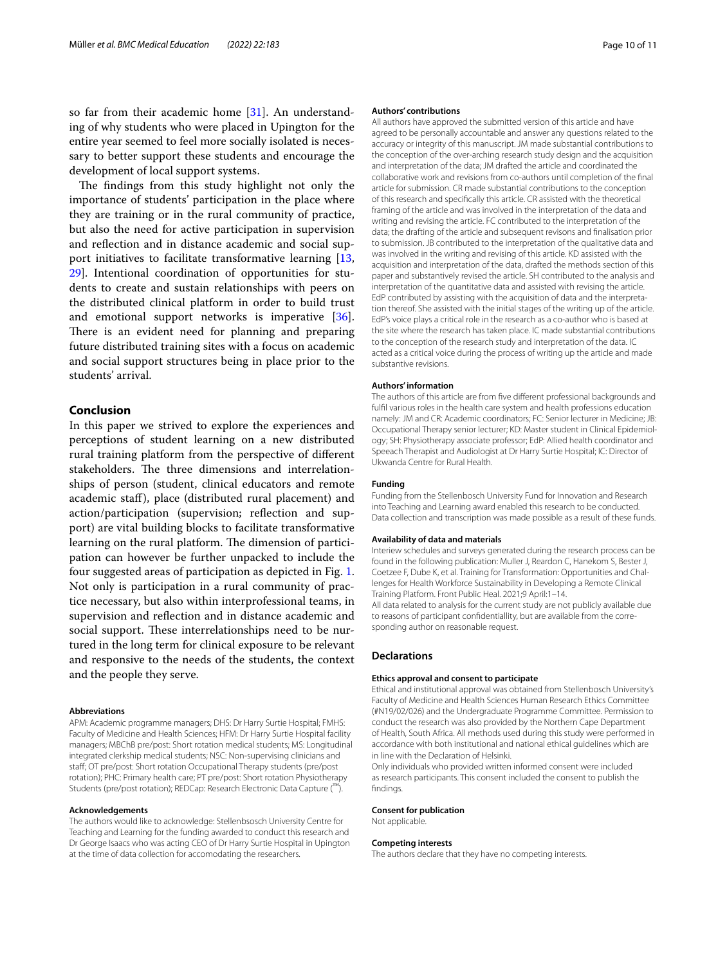so far from their academic home [[31\]](#page-10-30). An understanding of why students who were placed in Upington for the entire year seemed to feel more socially isolated is necessary to better support these students and encourage the development of local support systems.

The findings from this study highlight not only the importance of students' participation in the place where they are training or in the rural community of practice, but also the need for active participation in supervision and refection and in distance academic and social support initiatives to facilitate transformative learning [\[13](#page-10-12), [29\]](#page-10-28). Intentional coordination of opportunities for students to create and sustain relationships with peers on the distributed clinical platform in order to build trust and emotional support networks is imperative [\[36](#page-10-35)]. There is an evident need for planning and preparing future distributed training sites with a focus on academic and social support structures being in place prior to the students' arrival.

#### **Conclusion**

In this paper we strived to explore the experiences and perceptions of student learning on a new distributed rural training platform from the perspective of diferent stakeholders. The three dimensions and interrelationships of person (student, clinical educators and remote academic staf), place (distributed rural placement) and action/participation (supervision; refection and support) are vital building blocks to facilitate transformative learning on the rural platform. The dimension of participation can however be further unpacked to include the four suggested areas of participation as depicted in Fig. [1](#page-8-0). Not only is participation in a rural community of practice necessary, but also within interprofessional teams, in supervision and refection and in distance academic and social support. These interrelationships need to be nurtured in the long term for clinical exposure to be relevant and responsive to the needs of the students, the context and the people they serve.

#### **Abbreviations**

APM: Academic programme managers; DHS: Dr Harry Surtie Hospital; FMHS: Faculty of Medicine and Health Sciences; HFM: Dr Harry Surtie Hospital facility managers; MBChB pre/post: Short rotation medical students; MS: Longitudinal integrated clerkship medical students; NSC: Non-supervising clinicians and staf; OT pre/post: Short rotation Occupational Therapy students (pre/post rotation); PHC: Primary health care; PT pre/post: Short rotation Physiotherapy Students (pre/post rotation); REDCap: Research Electronic Data Capture (™).

#### **Acknowledgements**

The authors would like to acknowledge: Stellenbsosch University Centre for Teaching and Learning for the funding awarded to conduct this research and Dr George Isaacs who was acting CEO of Dr Harry Surtie Hospital in Upington at the time of data collection for accomodating the researchers.

#### **Authors' contributions**

All authors have approved the submitted version of this article and have agreed to be personally accountable and answer any questions related to the accuracy or integrity of this manuscript. JM made substantial contributions to the conception of the over-arching research study design and the acquisition and interpretation of the data; JM drafted the article and coordinated the collaborative work and revisions from co-authors until completion of the fnal article for submission. CR made substantial contributions to the conception of this research and specifcally this article. CR assisted with the theoretical framing of the article and was involved in the interpretation of the data and writing and revising the article. FC contributed to the interpretation of the data; the drafting of the article and subsequent revisons and fnalisation prior to submission. JB contributed to the interpretation of the qualitative data and was involved in the writing and revising of this article. KD assisted with the acquisition and interpretation of the data, drafted the methods section of this paper and substantively revised the article. SH contributed to the analysis and interpretation of the quantitative data and assisted with revising the article. EdP contributed by assisting with the acquisition of data and the interpretation thereof. She assisted with the initial stages of the writing up of the article. EdP's voice plays a critical role in the research as a co-author who is based at the site where the research has taken place. IC made substantial contributions to the conception of the research study and interpretation of the data. IC acted as a critical voice during the process of writing up the article and made substantive revisions.

#### **Authors' information**

The authors of this article are from fve diferent professional backgrounds and fulfl various roles in the health care system and health professions education namely: JM and CR: Academic coordinators; FC: Senior lecturer in Medicine; JB: Occupational Therapy senior lecturer; KD: Master student in Clinical Epidemiology; SH: Physiotherapy associate professor; EdP: Allied health coordinator and Speeach Therapist and Audiologist at Dr Harry Surtie Hospital; IC: Director of Ukwanda Centre for Rural Health.

#### **Funding**

Funding from the Stellenbosch University Fund for Innovation and Research into Teaching and Learning award enabled this research to be conducted. Data collection and transcription was made possible as a result of these funds.

#### **Availability of data and materials**

Interiew schedules and surveys generated during the research process can be found in the following publication: Muller J, Reardon C, Hanekom S, Bester J, Coetzee F, Dube K, et al. Training for Transformation: Opportunities and Challenges for Health Workforce Sustainability in Developing a Remote Clinical Training Platform. Front Public Heal. 2021;9 April:1–14. All data related to analysis for the current study are not publicly available due to reasons of participant confdentiallity, but are available from the corresponding author on reasonable request.

#### **Declarations**

#### **Ethics approval and consent to participate**

Ethical and institutional approval was obtained from Stellenbosch University's Faculty of Medicine and Health Sciences Human Research Ethics Committee (#N19/02/026) and the Undergraduate Programme Committee. Permission to conduct the research was also provided by the Northern Cape Department of Health, South Africa. All methods used during this study were performed in accordance with both institutional and national ethical guidelines which are in line with the Declaration of Helsinki.

Only individuals who provided written informed consent were included as research participants. This consent included the consent to publish the fndings.

#### **Consent for publication**

Not applicable.

#### **Competing interests**

The authors declare that they have no competing interests.